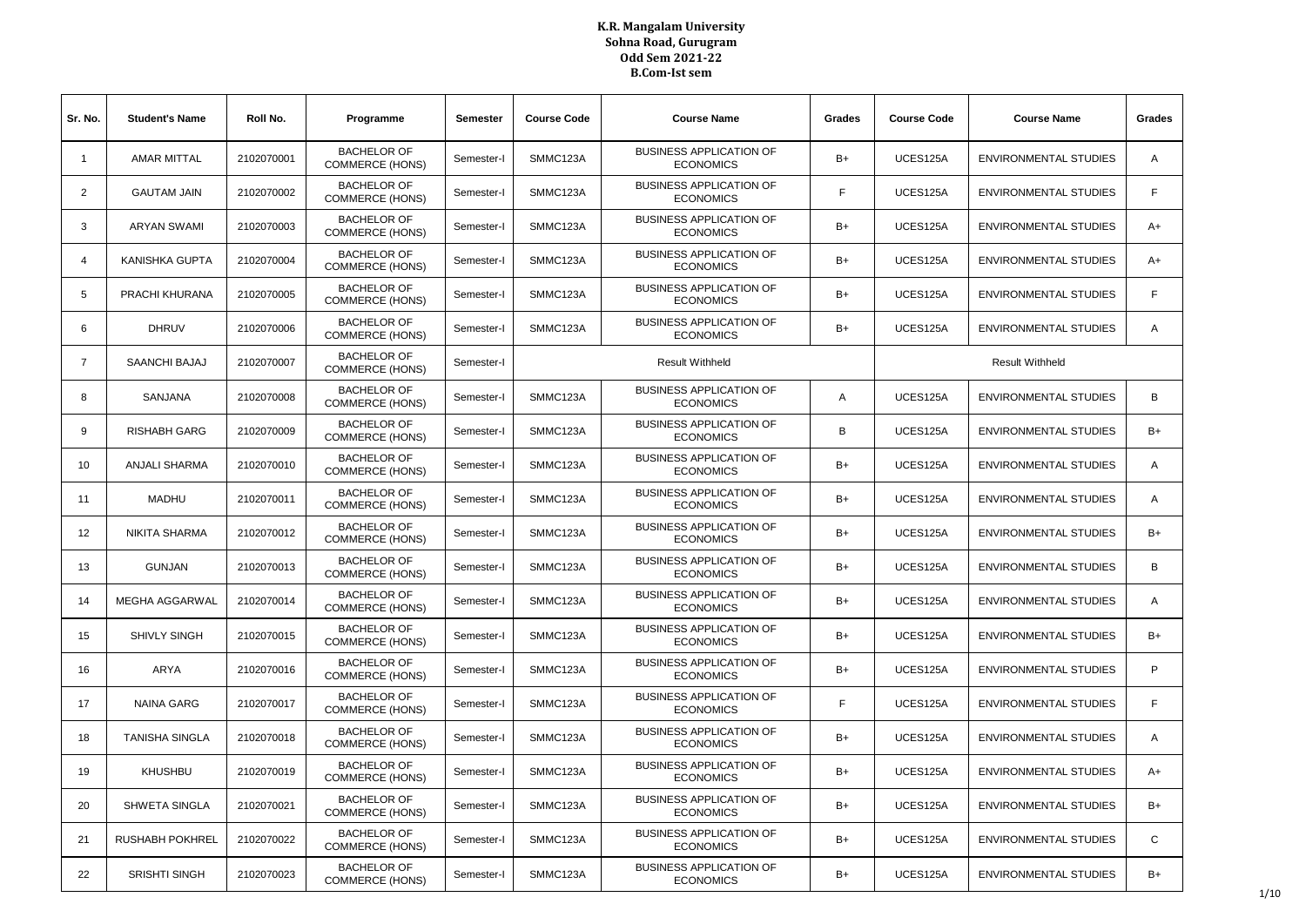| Sr. No.        | <b>Student's Name</b>  | Roll No.   | Programme                                    | Semester   | <b>Course Code</b>     | <b>Course Name</b>                                 | Grades | <b>Course Code</b> | <b>Course Name</b>           | Grades         |
|----------------|------------------------|------------|----------------------------------------------|------------|------------------------|----------------------------------------------------|--------|--------------------|------------------------------|----------------|
| $\overline{1}$ | <b>AMAR MITTAL</b>     | 2102070001 | <b>BACHELOR OF</b><br><b>COMMERCE (HONS)</b> | Semester-I | SMMC123A               | <b>BUSINESS APPLICATION OF</b><br><b>ECONOMICS</b> | $B+$   | UCES125A           | <b>ENVIRONMENTAL STUDIES</b> | Α              |
| 2              | <b>GAUTAM JAIN</b>     | 2102070002 | <b>BACHELOR OF</b><br><b>COMMERCE (HONS)</b> | Semester-I | SMMC123A               | <b>BUSINESS APPLICATION OF</b><br><b>ECONOMICS</b> | F      | UCES125A           | <b>ENVIRONMENTAL STUDIES</b> | F              |
| 3              | <b>ARYAN SWAMI</b>     | 2102070003 | <b>BACHELOR OF</b><br><b>COMMERCE (HONS)</b> | Semester-I | SMMC123A               | <b>BUSINESS APPLICATION OF</b><br><b>ECONOMICS</b> | B+     | UCES125A           | <b>ENVIRONMENTAL STUDIES</b> | A+             |
| $\overline{4}$ | <b>KANISHKA GUPTA</b>  | 2102070004 | <b>BACHELOR OF</b><br><b>COMMERCE (HONS)</b> | Semester-I | SMMC123A               | <b>BUSINESS APPLICATION OF</b><br><b>ECONOMICS</b> | $B+$   | UCES125A           | <b>ENVIRONMENTAL STUDIES</b> | A+             |
| 5              | PRACHI KHURANA         | 2102070005 | <b>BACHELOR OF</b><br><b>COMMERCE (HONS)</b> | Semester-I | SMMC123A               | <b>BUSINESS APPLICATION OF</b><br><b>ECONOMICS</b> | $B+$   | UCES125A           | <b>ENVIRONMENTAL STUDIES</b> | F              |
| 6              | <b>DHRUV</b>           | 2102070006 | <b>BACHELOR OF</b><br><b>COMMERCE (HONS)</b> | Semester-I | SMMC123A               | <b>BUSINESS APPLICATION OF</b><br><b>ECONOMICS</b> | $B+$   | UCES125A           | <b>ENVIRONMENTAL STUDIES</b> | A              |
| $\overline{7}$ | SAANCHI BAJAJ          | 2102070007 | <b>BACHELOR OF</b><br><b>COMMERCE (HONS)</b> | Semester-I | <b>Result Withheld</b> |                                                    |        |                    | <b>Result Withheld</b>       |                |
| 8              | SANJANA                | 2102070008 | <b>BACHELOR OF</b><br><b>COMMERCE (HONS)</b> | Semester-I | SMMC123A               | <b>BUSINESS APPLICATION OF</b><br><b>ECONOMICS</b> | Α      | UCES125A           | <b>ENVIRONMENTAL STUDIES</b> | B              |
| 9              | <b>RISHABH GARG</b>    | 2102070009 | <b>BACHELOR OF</b><br><b>COMMERCE (HONS)</b> | Semester-I | SMMC123A               | <b>BUSINESS APPLICATION OF</b><br><b>ECONOMICS</b> | В      | UCES125A           | <b>ENVIRONMENTAL STUDIES</b> | $B+$           |
| 10             | <b>ANJALI SHARMA</b>   | 2102070010 | <b>BACHELOR OF</b><br><b>COMMERCE (HONS)</b> | Semester-I | SMMC123A               | <b>BUSINESS APPLICATION OF</b><br><b>ECONOMICS</b> | $B+$   | UCES125A           | <b>ENVIRONMENTAL STUDIES</b> | $\overline{A}$ |
| 11             | <b>MADHU</b>           | 2102070011 | <b>BACHELOR OF</b><br><b>COMMERCE (HONS)</b> | Semester-I | SMMC123A               | <b>BUSINESS APPLICATION OF</b><br><b>ECONOMICS</b> | B+     | UCES125A           | <b>ENVIRONMENTAL STUDIES</b> | A              |
| 12             | <b>NIKITA SHARMA</b>   | 2102070012 | <b>BACHELOR OF</b><br><b>COMMERCE (HONS)</b> | Semester-I | SMMC123A               | <b>BUSINESS APPLICATION OF</b><br><b>ECONOMICS</b> | B+     | UCES125A           | <b>ENVIRONMENTAL STUDIES</b> | B+             |
| 13             | <b>GUNJAN</b>          | 2102070013 | <b>BACHELOR OF</b><br><b>COMMERCE (HONS)</b> | Semester-I | SMMC123A               | <b>BUSINESS APPLICATION OF</b><br><b>ECONOMICS</b> | $B+$   | UCES125A           | <b>ENVIRONMENTAL STUDIES</b> | B              |
| 14             | <b>MEGHA AGGARWAL</b>  | 2102070014 | <b>BACHELOR OF</b><br><b>COMMERCE (HONS)</b> | Semester-I | SMMC123A               | <b>BUSINESS APPLICATION OF</b><br><b>ECONOMICS</b> | $B+$   | UCES125A           | <b>ENVIRONMENTAL STUDIES</b> | A              |
| 15             | <b>SHIVLY SINGH</b>    | 2102070015 | <b>BACHELOR OF</b><br><b>COMMERCE (HONS)</b> | Semester-I | SMMC123A               | <b>BUSINESS APPLICATION OF</b><br><b>ECONOMICS</b> | $B+$   | UCES125A           | <b>ENVIRONMENTAL STUDIES</b> | B+             |
| 16             | <b>ARYA</b>            | 2102070016 | <b>BACHELOR OF</b><br><b>COMMERCE (HONS)</b> | Semester-I | SMMC123A               | <b>BUSINESS APPLICATION OF</b><br><b>ECONOMICS</b> | $B+$   | UCES125A           | <b>ENVIRONMENTAL STUDIES</b> | P              |
| 17             | <b>NAINA GARG</b>      | 2102070017 | <b>BACHELOR OF</b><br><b>COMMERCE (HONS)</b> | Semester-I | SMMC123A               | <b>BUSINESS APPLICATION OF</b><br><b>ECONOMICS</b> | F      | UCES125A           | <b>ENVIRONMENTAL STUDIES</b> | F              |
| 18             | <b>TANISHA SINGLA</b>  | 2102070018 | <b>BACHELOR OF</b><br><b>COMMERCE (HONS)</b> | Semester-I | SMMC123A               | <b>BUSINESS APPLICATION OF</b><br><b>ECONOMICS</b> | B+     | UCES125A           | <b>ENVIRONMENTAL STUDIES</b> | $\overline{A}$ |
| 19             | <b>KHUSHBU</b>         | 2102070019 | <b>BACHELOR OF</b><br><b>COMMERCE (HONS)</b> | Semester-I | SMMC123A               | <b>BUSINESS APPLICATION OF</b><br><b>ECONOMICS</b> | $B+$   | UCES125A           | <b>ENVIRONMENTAL STUDIES</b> | A+             |
| 20             | <b>SHWETA SINGLA</b>   | 2102070021 | <b>BACHELOR OF</b><br><b>COMMERCE (HONS)</b> | Semester-I | SMMC123A               | <b>BUSINESS APPLICATION OF</b><br><b>ECONOMICS</b> | $B+$   | UCES125A           | <b>ENVIRONMENTAL STUDIES</b> | B+             |
| 21             | <b>RUSHABH POKHREL</b> | 2102070022 | <b>BACHELOR OF</b><br><b>COMMERCE (HONS)</b> | Semester-I | SMMC123A               | <b>BUSINESS APPLICATION OF</b><br><b>ECONOMICS</b> | $B+$   | UCES125A           | <b>ENVIRONMENTAL STUDIES</b> | $\mathsf{C}$   |
| 22             | <b>SRISHTI SINGH</b>   | 2102070023 | <b>BACHELOR OF</b><br><b>COMMERCE (HONS)</b> | Semester-I | SMMC123A               | <b>BUSINESS APPLICATION OF</b><br><b>ECONOMICS</b> | B+     | UCES125A           | <b>ENVIRONMENTAL STUDIES</b> | B+             |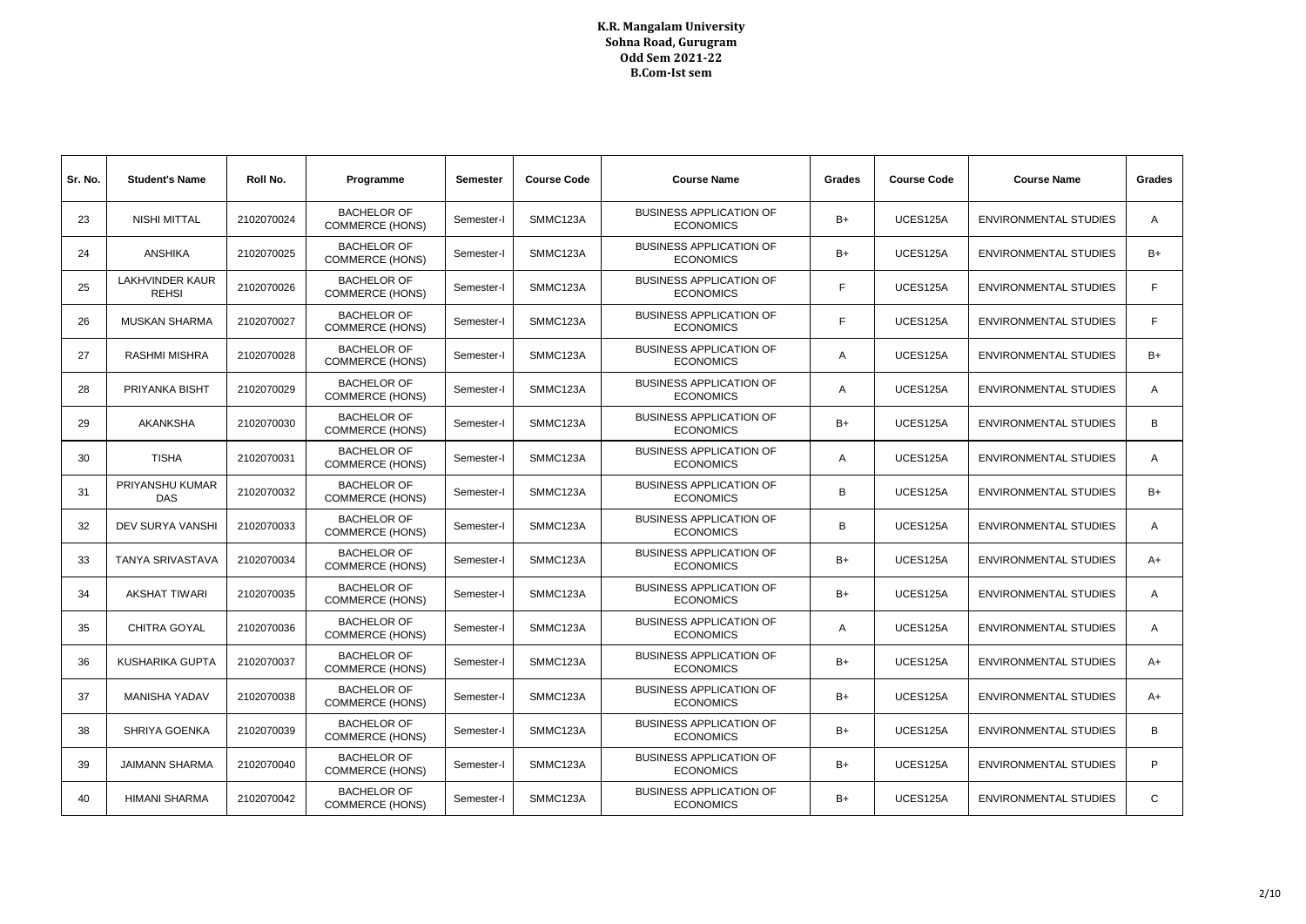| Sr. No. | <b>Student's Name</b>                  | Roll No.   | Programme                                    | Semester   | <b>Course Code</b> | <b>Course Name</b>                                 | Grades | <b>Course Code</b> | <b>Course Name</b>           | Grades         |
|---------|----------------------------------------|------------|----------------------------------------------|------------|--------------------|----------------------------------------------------|--------|--------------------|------------------------------|----------------|
| 23      | <b>NISHI MITTAL</b>                    | 2102070024 | <b>BACHELOR OF</b><br><b>COMMERCE (HONS)</b> | Semester-I | SMMC123A           | <b>BUSINESS APPLICATION OF</b><br><b>ECONOMICS</b> | $B+$   | UCES125A           | <b>ENVIRONMENTAL STUDIES</b> | $\overline{A}$ |
| 24      | <b>ANSHIKA</b>                         | 2102070025 | <b>BACHELOR OF</b><br><b>COMMERCE (HONS)</b> | Semester-I | SMMC123A           | <b>BUSINESS APPLICATION OF</b><br><b>ECONOMICS</b> | $B+$   | UCES125A           | <b>ENVIRONMENTAL STUDIES</b> | $B+$           |
| 25      | <b>LAKHVINDER KAUR</b><br><b>REHSI</b> | 2102070026 | <b>BACHELOR OF</b><br><b>COMMERCE (HONS)</b> | Semester-I | SMMC123A           | <b>BUSINESS APPLICATION OF</b><br><b>ECONOMICS</b> | F.     | UCES125A           | <b>ENVIRONMENTAL STUDIES</b> | F              |
| 26      | <b>MUSKAN SHARMA</b>                   | 2102070027 | <b>BACHELOR OF</b><br><b>COMMERCE (HONS)</b> | Semester-I | SMMC123A           | <b>BUSINESS APPLICATION OF</b><br><b>ECONOMICS</b> |        | UCES125A           | <b>ENVIRONMENTAL STUDIES</b> | F.             |
| 27      | <b>RASHMI MISHRA</b>                   | 2102070028 | <b>BACHELOR OF</b><br><b>COMMERCE (HONS)</b> | Semester-I | SMMC123A           | <b>BUSINESS APPLICATION OF</b><br><b>ECONOMICS</b> | A      | UCES125A           | <b>ENVIRONMENTAL STUDIES</b> | B+             |
| 28      | PRIYANKA BISHT                         | 2102070029 | <b>BACHELOR OF</b><br><b>COMMERCE (HONS)</b> | Semester-I | SMMC123A           | <b>BUSINESS APPLICATION OF</b><br><b>ECONOMICS</b> | Α      | UCES125A           | <b>ENVIRONMENTAL STUDIES</b> | $\overline{A}$ |
| 29      | <b>AKANKSHA</b>                        | 2102070030 | <b>BACHELOR OF</b><br><b>COMMERCE (HONS)</b> | Semester-I | SMMC123A           | <b>BUSINESS APPLICATION OF</b><br><b>ECONOMICS</b> | $B+$   | UCES125A           | <b>ENVIRONMENTAL STUDIES</b> | B              |
| 30      | <b>TISHA</b>                           | 2102070031 | <b>BACHELOR OF</b><br><b>COMMERCE (HONS)</b> | Semester-I | SMMC123A           | <b>BUSINESS APPLICATION OF</b><br><b>ECONOMICS</b> | A      | UCES125A           | <b>ENVIRONMENTAL STUDIES</b> | $\overline{A}$ |
| 31      | PRIYANSHU KUMAR<br>DAS.                | 2102070032 | <b>BACHELOR OF</b><br><b>COMMERCE (HONS)</b> | Semester-I | SMMC123A           | <b>BUSINESS APPLICATION OF</b><br><b>ECONOMICS</b> | в      | UCES125A           | <b>ENVIRONMENTAL STUDIES</b> | $B+$           |
| 32      | <b>DEV SURYA VANSHI</b>                | 2102070033 | <b>BACHELOR OF</b><br><b>COMMERCE (HONS)</b> | Semester-I | SMMC123A           | <b>BUSINESS APPLICATION OF</b><br><b>ECONOMICS</b> | в      | UCES125A           | <b>ENVIRONMENTAL STUDIES</b> | $\overline{A}$ |
| 33      | <b>TANYA SRIVASTAVA</b>                | 2102070034 | <b>BACHELOR OF</b><br><b>COMMERCE (HONS)</b> | Semester-I | SMMC123A           | <b>BUSINESS APPLICATION OF</b><br><b>ECONOMICS</b> | B+     | UCES125A           | <b>ENVIRONMENTAL STUDIES</b> | $A+$           |
| 34      | <b>AKSHAT TIWARI</b>                   | 2102070035 | <b>BACHELOR OF</b><br><b>COMMERCE (HONS)</b> | Semester-I | SMMC123A           | <b>BUSINESS APPLICATION OF</b><br><b>ECONOMICS</b> | B+     | UCES125A           | <b>ENVIRONMENTAL STUDIES</b> | A              |
| 35      | <b>CHITRA GOYAL</b>                    | 2102070036 | <b>BACHELOR OF</b><br><b>COMMERCE (HONS)</b> | Semester-I | SMMC123A           | <b>BUSINESS APPLICATION OF</b><br><b>ECONOMICS</b> | A      | UCES125A           | <b>ENVIRONMENTAL STUDIES</b> | $\mathsf{A}$   |
| 36      | KUSHARIKA GUPTA                        | 2102070037 | <b>BACHELOR OF</b><br><b>COMMERCE (HONS)</b> | Semester-I | SMMC123A           | <b>BUSINESS APPLICATION OF</b><br><b>ECONOMICS</b> | $B+$   | UCES125A           | <b>ENVIRONMENTAL STUDIES</b> | $A+$           |
| 37      | <b>MANISHA YADAV</b>                   | 2102070038 | <b>BACHELOR OF</b><br><b>COMMERCE (HONS)</b> | Semester-I | SMMC123A           | <b>BUSINESS APPLICATION OF</b><br><b>ECONOMICS</b> | $B+$   | UCES125A           | <b>ENVIRONMENTAL STUDIES</b> | $A+$           |
| 38      | <b>SHRIYA GOENKA</b>                   | 2102070039 | <b>BACHELOR OF</b><br><b>COMMERCE (HONS)</b> | Semester-I | SMMC123A           | <b>BUSINESS APPLICATION OF</b><br><b>ECONOMICS</b> | $B+$   | UCES125A           | <b>ENVIRONMENTAL STUDIES</b> | B              |
| 39      | <b>JAIMANN SHARMA</b>                  | 2102070040 | <b>BACHELOR OF</b><br><b>COMMERCE (HONS)</b> | Semester-I | SMMC123A           | <b>BUSINESS APPLICATION OF</b><br><b>ECONOMICS</b> | B+     | UCES125A           | <b>ENVIRONMENTAL STUDIES</b> | P              |
| 40      | <b>HIMANI SHARMA</b>                   | 2102070042 | <b>BACHELOR OF</b><br><b>COMMERCE (HONS)</b> | Semester-I | SMMC123A           | <b>BUSINESS APPLICATION OF</b><br><b>ECONOMICS</b> | B+     | UCES125A           | <b>ENVIRONMENTAL STUDIES</b> | $\mathbf C$    |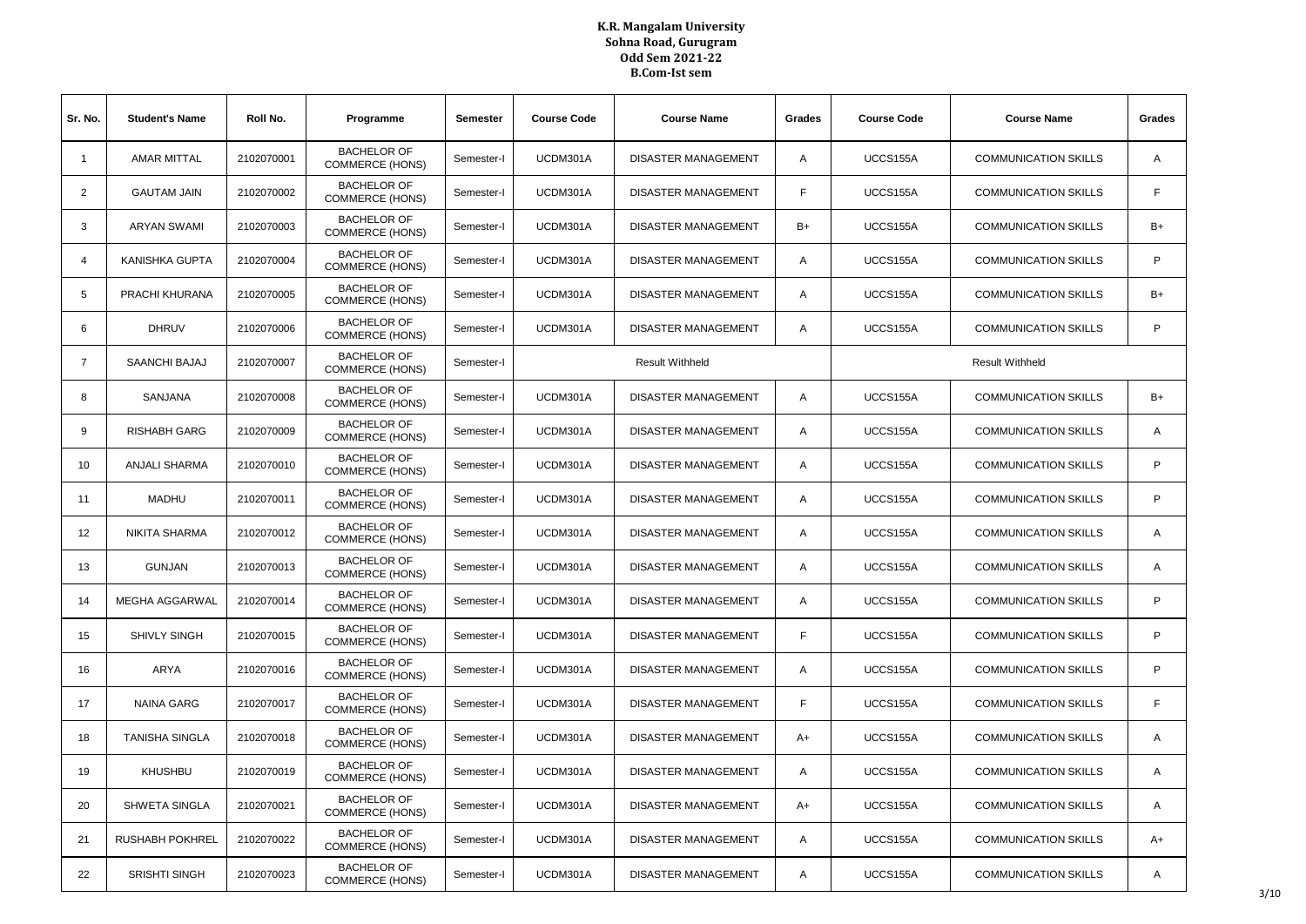| Sr. No.        | <b>Student's Name</b>  | Roll No.   | Programme                                    | <b>Semester</b> | <b>Course Code</b>     | <b>Course Name</b><br>Grades |    | <b>Course Code</b> | <b>Course Name</b>          | Grades       |
|----------------|------------------------|------------|----------------------------------------------|-----------------|------------------------|------------------------------|----|--------------------|-----------------------------|--------------|
| $\mathbf{1}$   | <b>AMAR MITTAL</b>     | 2102070001 | <b>BACHELOR OF</b><br><b>COMMERCE (HONS)</b> | Semester-I      | UCDM301A               | <b>DISASTER MANAGEMENT</b>   | A  | UCCS155A           | <b>COMMUNICATION SKILLS</b> | A            |
| 2              | <b>GAUTAM JAIN</b>     | 2102070002 | <b>BACHELOR OF</b><br><b>COMMERCE (HONS)</b> | Semester-I      | UCDM301A               | DISASTER MANAGEMENT          | F  |                    | <b>COMMUNICATION SKILLS</b> | F.           |
| 3              | <b>ARYAN SWAMI</b>     | 2102070003 | <b>BACHELOR OF</b><br><b>COMMERCE (HONS)</b> | Semester-I      | UCDM301A               | DISASTER MANAGEMENT          | B+ | UCCS155A           | <b>COMMUNICATION SKILLS</b> | B+           |
| $\overline{4}$ | <b>KANISHKA GUPTA</b>  | 2102070004 | <b>BACHELOR OF</b><br><b>COMMERCE (HONS)</b> | Semester-I      | UCDM301A               | DISASTER MANAGEMENT          | Α  | UCCS155A           | <b>COMMUNICATION SKILLS</b> | P            |
| 5              | PRACHI KHURANA         | 2102070005 | <b>BACHELOR OF</b><br><b>COMMERCE (HONS)</b> | Semester-I      | UCDM301A               | <b>DISASTER MANAGEMENT</b>   | Α  | UCCS155A           | <b>COMMUNICATION SKILLS</b> | $B+$         |
| 6              | <b>DHRUV</b>           | 2102070006 | <b>BACHELOR OF</b><br><b>COMMERCE (HONS)</b> | Semester-I      | UCDM301A               | DISASTER MANAGEMENT          | Α  | UCCS155A           | <b>COMMUNICATION SKILLS</b> | P            |
| $\overline{7}$ | SAANCHI BAJAJ          | 2102070007 | <b>BACHELOR OF</b><br><b>COMMERCE (HONS)</b> | Semester-I      | <b>Result Withheld</b> |                              |    |                    | <b>Result Withheld</b>      |              |
| 8              | SANJANA                | 2102070008 | <b>BACHELOR OF</b><br><b>COMMERCE (HONS)</b> | Semester-I      | UCDM301A               | <b>DISASTER MANAGEMENT</b>   | Α  | UCCS155A           | <b>COMMUNICATION SKILLS</b> | $B+$         |
| 9              | <b>RISHABH GARG</b>    | 2102070009 | <b>BACHELOR OF</b><br><b>COMMERCE (HONS)</b> | Semester-I      | UCDM301A               | <b>DISASTER MANAGEMENT</b>   | A  | UCCS155A           | <b>COMMUNICATION SKILLS</b> | $\mathsf{A}$ |
| 10             | <b>ANJALI SHARMA</b>   | 2102070010 | <b>BACHELOR OF</b><br><b>COMMERCE (HONS)</b> | Semester-I      | UCDM301A               | DISASTER MANAGEMENT          | Α  | UCCS155A           | <b>COMMUNICATION SKILLS</b> | P            |
| 11             | <b>MADHU</b>           | 2102070011 | <b>BACHELOR OF</b><br><b>COMMERCE (HONS)</b> | Semester-I      | UCDM301A               | <b>DISASTER MANAGEMENT</b>   | A  | UCCS155A           | <b>COMMUNICATION SKILLS</b> | P            |
| 12             | NIKITA SHARMA          | 2102070012 | <b>BACHELOR OF</b><br><b>COMMERCE (HONS)</b> | Semester-I      | UCDM301A               | DISASTER MANAGEMENT          | A  | UCCS155A           | <b>COMMUNICATION SKILLS</b> | A            |
| 13             | <b>GUNJAN</b>          | 2102070013 | <b>BACHELOR OF</b><br><b>COMMERCE (HONS)</b> | Semester-I      | UCDM301A               | DISASTER MANAGEMENT          | Α  | UCCS155A           | <b>COMMUNICATION SKILLS</b> | A            |
| 14             | MEGHA AGGARWAL         | 2102070014 | <b>BACHELOR OF</b><br><b>COMMERCE (HONS)</b> | Semester-I      | UCDM301A               | <b>DISASTER MANAGEMENT</b>   | Α  | UCCS155A           | <b>COMMUNICATION SKILLS</b> | P            |
| 15             | SHIVLY SINGH           | 2102070015 | <b>BACHELOR OF</b><br><b>COMMERCE (HONS)</b> | Semester-I      | UCDM301A               | DISASTER MANAGEMENT          | F  | UCCS155A           | <b>COMMUNICATION SKILLS</b> | P            |
| 16             | <b>ARYA</b>            | 2102070016 | <b>BACHELOR OF</b><br><b>COMMERCE (HONS)</b> | Semester-I      | UCDM301A               | DISASTER MANAGEMENT          | Α  | UCCS155A           | <b>COMMUNICATION SKILLS</b> | P            |
| 17             | <b>NAINA GARG</b>      | 2102070017 | <b>BACHELOR OF</b><br><b>COMMERCE (HONS)</b> | Semester-I      | UCDM301A               | <b>DISASTER MANAGEMENT</b>   | F  | UCCS155A           | <b>COMMUNICATION SKILLS</b> | F.           |
| 18             | <b>TANISHA SINGLA</b>  | 2102070018 | <b>BACHELOR OF</b><br><b>COMMERCE (HONS)</b> | Semester-I      | UCDM301A               | <b>DISASTER MANAGEMENT</b>   | A+ | UCCS155A           | <b>COMMUNICATION SKILLS</b> | A            |
| 19             | <b>KHUSHBU</b>         | 2102070019 | <b>BACHELOR OF</b><br><b>COMMERCE (HONS)</b> | Semester-I      | UCDM301A               | DISASTER MANAGEMENT          | Α  | UCCS155A           | <b>COMMUNICATION SKILLS</b> | A            |
| 20             | SHWETA SINGLA          | 2102070021 | <b>BACHELOR OF</b><br><b>COMMERCE (HONS)</b> | Semester-I      | UCDM301A               | DISASTER MANAGEMENT          | A+ | UCCS155A           | <b>COMMUNICATION SKILLS</b> | A            |
| 21             | <b>RUSHABH POKHREL</b> | 2102070022 | <b>BACHELOR OF</b><br><b>COMMERCE (HONS)</b> | Semester-I      | UCDM301A               | <b>DISASTER MANAGEMENT</b>   | Α  | UCCS155A           | <b>COMMUNICATION SKILLS</b> | A+           |
| 22             | <b>SRISHTI SINGH</b>   | 2102070023 | <b>BACHELOR OF</b><br><b>COMMERCE (HONS)</b> | Semester-I      | UCDM301A               | DISASTER MANAGEMENT          | Α  | UCCS155A           | <b>COMMUNICATION SKILLS</b> | A            |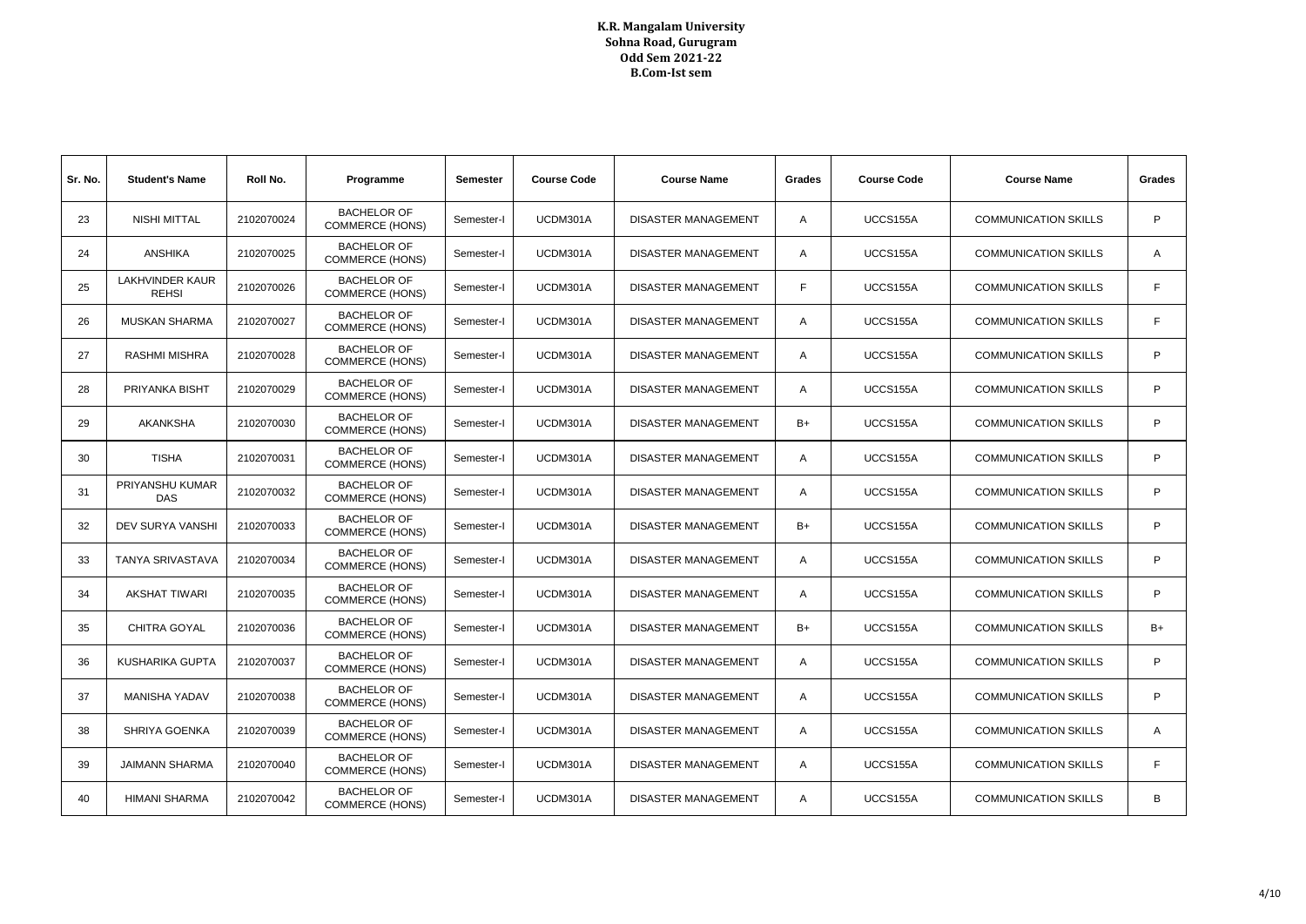| Sr. No. | <b>Student's Name</b>                  | Roll No.   | Programme                                    | <b>Semester</b> | <b>Course Code</b> | <b>Course Name</b>         | Grades         | <b>Course Code</b> | <b>Course Name</b>          | Grades         |
|---------|----------------------------------------|------------|----------------------------------------------|-----------------|--------------------|----------------------------|----------------|--------------------|-----------------------------|----------------|
| 23      | <b>NISHI MITTAL</b>                    | 2102070024 | <b>BACHELOR OF</b><br><b>COMMERCE (HONS)</b> | Semester-I      | UCDM301A           | <b>DISASTER MANAGEMENT</b> | $\overline{A}$ | UCCS155A           | <b>COMMUNICATION SKILLS</b> | P              |
| 24      | <b>ANSHIKA</b>                         | 2102070025 | <b>BACHELOR OF</b><br><b>COMMERCE (HONS)</b> | Semester-I      | UCDM301A           | <b>DISASTER MANAGEMENT</b> | $\overline{A}$ | UCCS155A           | <b>COMMUNICATION SKILLS</b> | A              |
| 25      | <b>LAKHVINDER KAUR</b><br><b>REHSI</b> | 2102070026 | <b>BACHELOR OF</b><br><b>COMMERCE (HONS)</b> | Semester-I      | UCDM301A           | <b>DISASTER MANAGEMENT</b> | F              | UCCS155A           | <b>COMMUNICATION SKILLS</b> | F              |
| 26      | <b>MUSKAN SHARMA</b>                   | 2102070027 | <b>BACHELOR OF</b><br><b>COMMERCE (HONS)</b> | Semester-I      | UCDM301A           | DISASTER MANAGEMENT        | A              | UCCS155A           | <b>COMMUNICATION SKILLS</b> | F              |
| 27      | <b>RASHMI MISHRA</b>                   | 2102070028 | <b>BACHELOR OF</b><br><b>COMMERCE (HONS)</b> | Semester-I      | UCDM301A           | <b>DISASTER MANAGEMENT</b> | $\overline{A}$ | UCCS155A           | <b>COMMUNICATION SKILLS</b> | P              |
| 28      | PRIYANKA BISHT                         | 2102070029 | <b>BACHELOR OF</b><br><b>COMMERCE (HONS)</b> | Semester-I      | UCDM301A           | <b>DISASTER MANAGEMENT</b> | $\overline{A}$ | UCCS155A           | <b>COMMUNICATION SKILLS</b> | P              |
| 29      | <b>AKANKSHA</b>                        | 2102070030 | <b>BACHELOR OF</b><br><b>COMMERCE (HONS)</b> | Semester-I      | UCDM301A           | <b>DISASTER MANAGEMENT</b> | B+             | UCCS155A           | <b>COMMUNICATION SKILLS</b> | P              |
| 30      | <b>TISHA</b>                           | 2102070031 | <b>BACHELOR OF</b><br><b>COMMERCE (HONS)</b> | Semester-I      | UCDM301A           | DISASTER MANAGEMENT        | A              | UCCS155A           | <b>COMMUNICATION SKILLS</b> | P              |
| 31      | PRIYANSHU KUMAR<br><b>DAS</b>          | 2102070032 | <b>BACHELOR OF</b><br><b>COMMERCE (HONS)</b> | Semester-I      | UCDM301A           | <b>DISASTER MANAGEMENT</b> | $\overline{A}$ | UCCS155A           | <b>COMMUNICATION SKILLS</b> | P              |
| 32      | <b>DEV SURYA VANSHI</b>                | 2102070033 | <b>BACHELOR OF</b><br><b>COMMERCE (HONS)</b> | Semester-I      | UCDM301A           | DISASTER MANAGEMENT        | B+             | UCCS155A           | <b>COMMUNICATION SKILLS</b> | P              |
| 33      | <b>TANYA SRIVASTAVA</b>                | 2102070034 | <b>BACHELOR OF</b><br><b>COMMERCE (HONS)</b> | Semester-I      | UCDM301A           | <b>DISASTER MANAGEMENT</b> | $\overline{A}$ | UCCS155A           | <b>COMMUNICATION SKILLS</b> | P              |
| 34      | <b>AKSHAT TIWARI</b>                   | 2102070035 | <b>BACHELOR OF</b><br><b>COMMERCE (HONS)</b> | Semester-I      | UCDM301A           | <b>DISASTER MANAGEMENT</b> | A              | UCCS155A           | <b>COMMUNICATION SKILLS</b> | P              |
| 35      | CHITRA GOYAL                           | 2102070036 | <b>BACHELOR OF</b><br><b>COMMERCE (HONS)</b> | Semester-I      | UCDM301A           | <b>DISASTER MANAGEMENT</b> | B+             | UCCS155A           | <b>COMMUNICATION SKILLS</b> | B+             |
| 36      | <b>KUSHARIKA GUPTA</b>                 | 2102070037 | <b>BACHELOR OF</b><br><b>COMMERCE (HONS)</b> | Semester-I      | UCDM301A           | <b>DISASTER MANAGEMENT</b> | $\overline{A}$ | UCCS155A           | <b>COMMUNICATION SKILLS</b> | P              |
| 37      | <b>MANISHA YADAV</b>                   | 2102070038 | <b>BACHELOR OF</b><br><b>COMMERCE (HONS)</b> | Semester-I      | UCDM301A           | DISASTER MANAGEMENT        | $\overline{A}$ | UCCS155A           | <b>COMMUNICATION SKILLS</b> | P              |
| 38      | <b>SHRIYA GOENKA</b>                   | 2102070039 | <b>BACHELOR OF</b><br><b>COMMERCE (HONS)</b> | Semester-I      | UCDM301A           | <b>DISASTER MANAGEMENT</b> | $\overline{A}$ | UCCS155A           | <b>COMMUNICATION SKILLS</b> | $\overline{A}$ |
| 39      | <b>JAIMANN SHARMA</b>                  | 2102070040 | <b>BACHELOR OF</b><br><b>COMMERCE (HONS)</b> | Semester-I      | UCDM301A           | <b>DISASTER MANAGEMENT</b> | A              | UCCS155A           | <b>COMMUNICATION SKILLS</b> | F              |
| 40      | <b>HIMANI SHARMA</b>                   | 2102070042 | <b>BACHELOR OF</b><br><b>COMMERCE (HONS)</b> | Semester-I      | UCDM301A           | <b>DISASTER MANAGEMENT</b> | A              | UCCS155A           | <b>COMMUNICATION SKILLS</b> | B              |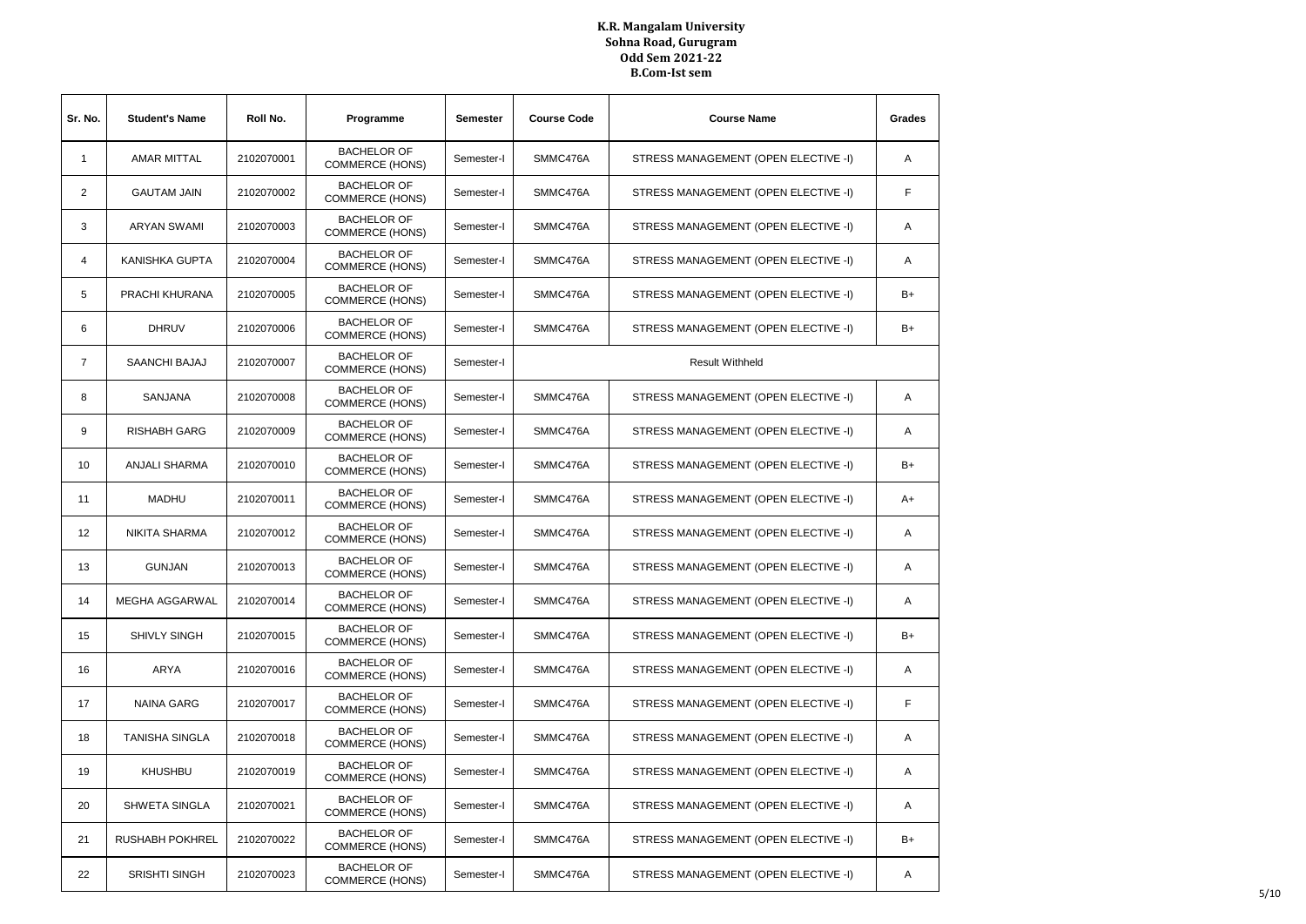| Sr. No.        | <b>Student's Name</b> | Roll No.   | Programme                                    | <b>Semester</b> | <b>Course Code</b> | <b>Course Name</b>                   | Grades |
|----------------|-----------------------|------------|----------------------------------------------|-----------------|--------------------|--------------------------------------|--------|
| $\mathbf{1}$   | <b>AMAR MITTAL</b>    | 2102070001 | <b>BACHELOR OF</b><br><b>COMMERCE (HONS)</b> | Semester-I      | SMMC476A           | STRESS MANAGEMENT (OPEN ELECTIVE -I) | Α      |
| 2              | <b>GAUTAM JAIN</b>    | 2102070002 | <b>BACHELOR OF</b><br><b>COMMERCE (HONS)</b> | Semester-I      | SMMC476A           | STRESS MANAGEMENT (OPEN ELECTIVE -I) | F      |
| 3              | ARYAN SWAMI           | 2102070003 | <b>BACHELOR OF</b><br><b>COMMERCE (HONS)</b> | Semester-I      | SMMC476A           | STRESS MANAGEMENT (OPEN ELECTIVE -I) | A      |
| 4              | KANISHKA GUPTA        | 2102070004 | <b>BACHELOR OF</b><br><b>COMMERCE (HONS)</b> | Semester-I      | SMMC476A           | STRESS MANAGEMENT (OPEN ELECTIVE -I) | Α      |
| 5              | PRACHI KHURANA        | 2102070005 | <b>BACHELOR OF</b><br><b>COMMERCE (HONS)</b> | Semester-I      | SMMC476A           | STRESS MANAGEMENT (OPEN ELECTIVE -I) | B+     |
| 6              | <b>DHRUV</b>          | 2102070006 | <b>BACHELOR OF</b><br><b>COMMERCE (HONS)</b> | Semester-I      | SMMC476A           | STRESS MANAGEMENT (OPEN ELECTIVE -I) | B+     |
| $\overline{7}$ | SAANCHI BAJAJ         | 2102070007 | <b>BACHELOR OF</b><br><b>COMMERCE (HONS)</b> | Semester-I      |                    | <b>Result Withheld</b>               |        |
| 8              | SANJANA               | 2102070008 | <b>BACHELOR OF</b><br><b>COMMERCE (HONS)</b> | Semester-I      | SMMC476A           | STRESS MANAGEMENT (OPEN ELECTIVE -I) | Α      |
| 9              | <b>RISHABH GARG</b>   | 2102070009 | <b>BACHELOR OF</b><br><b>COMMERCE (HONS)</b> | Semester-I      | SMMC476A           | STRESS MANAGEMENT (OPEN ELECTIVE -I) | Α      |
| 10             | <b>ANJALI SHARMA</b>  | 2102070010 | <b>BACHELOR OF</b><br><b>COMMERCE (HONS)</b> | Semester-I      | SMMC476A           | STRESS MANAGEMENT (OPEN ELECTIVE -I) | B+     |
| 11             | <b>MADHU</b>          | 2102070011 | <b>BACHELOR OF</b><br><b>COMMERCE (HONS)</b> | Semester-I      | SMMC476A           | STRESS MANAGEMENT (OPEN ELECTIVE -I) | A+     |
| 12             | NIKITA SHARMA         | 2102070012 | <b>BACHELOR OF</b><br><b>COMMERCE (HONS)</b> | Semester-I      | SMMC476A           | STRESS MANAGEMENT (OPEN ELECTIVE -I) | A      |
| 13             | <b>GUNJAN</b>         | 2102070013 | <b>BACHELOR OF</b><br><b>COMMERCE (HONS)</b> | Semester-I      | SMMC476A           | STRESS MANAGEMENT (OPEN ELECTIVE -I) | Α      |
| 14             | MEGHA AGGARWAL        | 2102070014 | <b>BACHELOR OF</b><br><b>COMMERCE (HONS)</b> | Semester-I      | SMMC476A           | STRESS MANAGEMENT (OPEN ELECTIVE -I) | Α      |
| 15             | <b>SHIVLY SINGH</b>   | 2102070015 | <b>BACHELOR OF</b><br><b>COMMERCE (HONS)</b> | Semester-I      | SMMC476A           | STRESS MANAGEMENT (OPEN ELECTIVE -I) | B+     |
| 16             | <b>ARYA</b>           | 2102070016 | <b>BACHELOR OF</b><br><b>COMMERCE (HONS)</b> | Semester-I      | SMMC476A           | STRESS MANAGEMENT (OPEN ELECTIVE -I) | Α      |
| 17             | <b>NAINA GARG</b>     | 2102070017 | <b>BACHELOR OF</b><br><b>COMMERCE (HONS)</b> | Semester-I      | SMMC476A           | STRESS MANAGEMENT (OPEN ELECTIVE -I) | F      |
| 18             | <b>TANISHA SINGLA</b> | 2102070018 | <b>BACHELOR OF</b><br><b>COMMERCE (HONS)</b> | Semester-I      | SMMC476A           | STRESS MANAGEMENT (OPEN ELECTIVE -I) | Α      |
| 19             | <b>KHUSHBU</b>        | 2102070019 | <b>BACHELOR OF</b><br><b>COMMERCE (HONS)</b> | Semester-I      | SMMC476A           | STRESS MANAGEMENT (OPEN ELECTIVE -I) | Α      |
| 20             | SHWETA SINGLA         | 2102070021 | <b>BACHELOR OF</b><br><b>COMMERCE (HONS)</b> | Semester-I      | SMMC476A           | STRESS MANAGEMENT (OPEN ELECTIVE -I) | Α      |
| 21             | RUSHABH POKHREL       | 2102070022 | <b>BACHELOR OF</b><br><b>COMMERCE (HONS)</b> | Semester-I      | SMMC476A           | STRESS MANAGEMENT (OPEN ELECTIVE -I) | B+     |
| 22             | <b>SRISHTI SINGH</b>  | 2102070023 | <b>BACHELOR OF</b><br><b>COMMERCE (HONS)</b> | Semester-I      | SMMC476A           | STRESS MANAGEMENT (OPEN ELECTIVE -I) | Α      |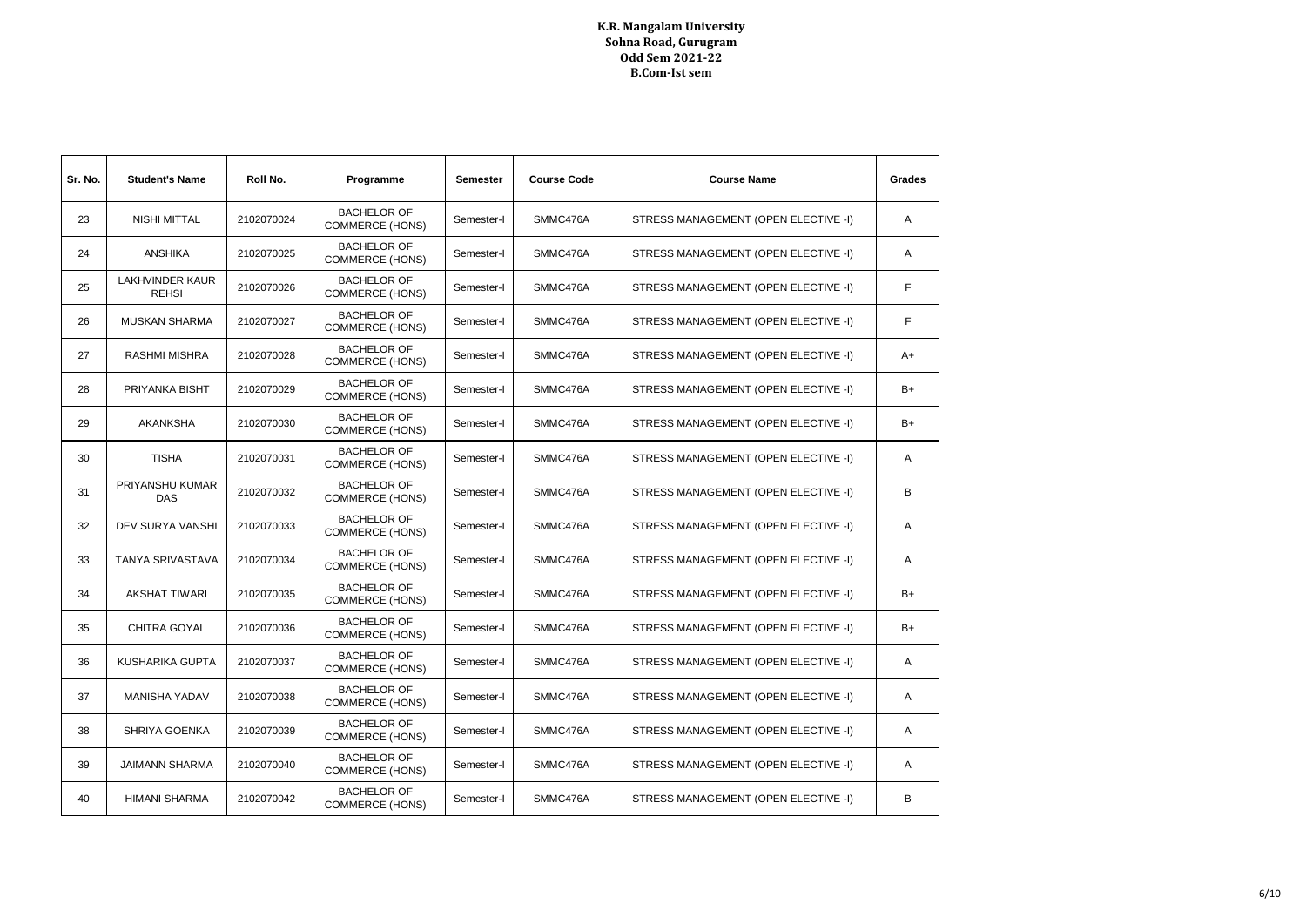| Sr. No. | <b>Student's Name</b>                  | Roll No.   | Programme                                    | <b>Semester</b> | <b>Course Code</b> | <b>Course Name</b>                   | Grades |
|---------|----------------------------------------|------------|----------------------------------------------|-----------------|--------------------|--------------------------------------|--------|
| 23      | NISHI MITTAL                           | 2102070024 | <b>BACHELOR OF</b><br><b>COMMERCE (HONS)</b> | Semester-I      | SMMC476A           | STRESS MANAGEMENT (OPEN ELECTIVE -I) | Α      |
| 24      | <b>ANSHIKA</b>                         | 2102070025 | <b>BACHELOR OF</b><br><b>COMMERCE (HONS)</b> | Semester-I      | SMMC476A           | STRESS MANAGEMENT (OPEN ELECTIVE -I) | A      |
| 25      | <b>LAKHVINDER KAUR</b><br><b>REHSI</b> | 2102070026 | <b>BACHELOR OF</b><br><b>COMMERCE (HONS)</b> | Semester-I      | SMMC476A           | STRESS MANAGEMENT (OPEN ELECTIVE -I) | F      |
| 26      | <b>MUSKAN SHARMA</b>                   | 2102070027 | <b>BACHELOR OF</b><br><b>COMMERCE (HONS)</b> | Semester-I      | SMMC476A           | STRESS MANAGEMENT (OPEN ELECTIVE -I) | F      |
| 27      | <b>RASHMI MISHRA</b>                   | 2102070028 | <b>BACHELOR OF</b><br><b>COMMERCE (HONS)</b> | Semester-I      | SMMC476A           | STRESS MANAGEMENT (OPEN ELECTIVE -I) | A+     |
| 28      | PRIYANKA BISHT                         | 2102070029 | <b>BACHELOR OF</b><br><b>COMMERCE (HONS)</b> | Semester-I      | SMMC476A           | STRESS MANAGEMENT (OPEN ELECTIVE -I) | B+     |
| 29      | <b>AKANKSHA</b>                        | 2102070030 | <b>BACHELOR OF</b><br><b>COMMERCE (HONS)</b> | Semester-I      | SMMC476A           | STRESS MANAGEMENT (OPEN ELECTIVE -I) | B+     |
| 30      | <b>TISHA</b>                           | 2102070031 | <b>BACHELOR OF</b><br><b>COMMERCE (HONS)</b> | Semester-I      | SMMC476A           | STRESS MANAGEMENT (OPEN ELECTIVE -I) | Α      |
| 31      | PRIYANSHU KUMAR<br>DAS                 | 2102070032 | <b>BACHELOR OF</b><br><b>COMMERCE (HONS)</b> | Semester-I      | SMMC476A           | STRESS MANAGEMENT (OPEN ELECTIVE -I) | B      |
| 32      | DEV SURYA VANSHI                       | 2102070033 | <b>BACHELOR OF</b><br><b>COMMERCE (HONS)</b> | Semester-I      | SMMC476A           | STRESS MANAGEMENT (OPEN ELECTIVE -I) | A      |
| 33      | <b>TANYA SRIVASTAVA</b>                | 2102070034 | <b>BACHELOR OF</b><br><b>COMMERCE (HONS)</b> | Semester-I      | SMMC476A           | STRESS MANAGEMENT (OPEN ELECTIVE -I) | A      |
| 34      | <b>AKSHAT TIWARI</b>                   | 2102070035 | <b>BACHELOR OF</b><br><b>COMMERCE (HONS)</b> | Semester-I      | SMMC476A           | STRESS MANAGEMENT (OPEN ELECTIVE -I) | B+     |
| 35      | <b>CHITRA GOYAL</b>                    | 2102070036 | <b>BACHELOR OF</b><br><b>COMMERCE (HONS)</b> | Semester-I      | SMMC476A           | STRESS MANAGEMENT (OPEN ELECTIVE -I) | B+     |
| 36      | KUSHARIKA GUPTA                        | 2102070037 | <b>BACHELOR OF</b><br><b>COMMERCE (HONS)</b> | Semester-I      | SMMC476A           | STRESS MANAGEMENT (OPEN ELECTIVE -I) | A      |
| 37      | <b>MANISHA YADAV</b>                   | 2102070038 | <b>BACHELOR OF</b><br><b>COMMERCE (HONS)</b> | Semester-I      | SMMC476A           | STRESS MANAGEMENT (OPEN ELECTIVE -I) | Α      |
| 38      | SHRIYA GOENKA                          | 2102070039 | <b>BACHELOR OF</b><br><b>COMMERCE (HONS)</b> | Semester-I      | SMMC476A           | STRESS MANAGEMENT (OPEN ELECTIVE -I) | A      |
| 39      | <b>JAIMANN SHARMA</b>                  | 2102070040 | <b>BACHELOR OF</b><br><b>COMMERCE (HONS)</b> | Semester-I      | SMMC476A           | STRESS MANAGEMENT (OPEN ELECTIVE -I) | Α      |
| 40      | <b>HIMANI SHARMA</b>                   | 2102070042 | <b>BACHELOR OF</b><br><b>COMMERCE (HONS)</b> | Semester-I      | SMMC476A           | STRESS MANAGEMENT (OPEN ELECTIVE -I) | В      |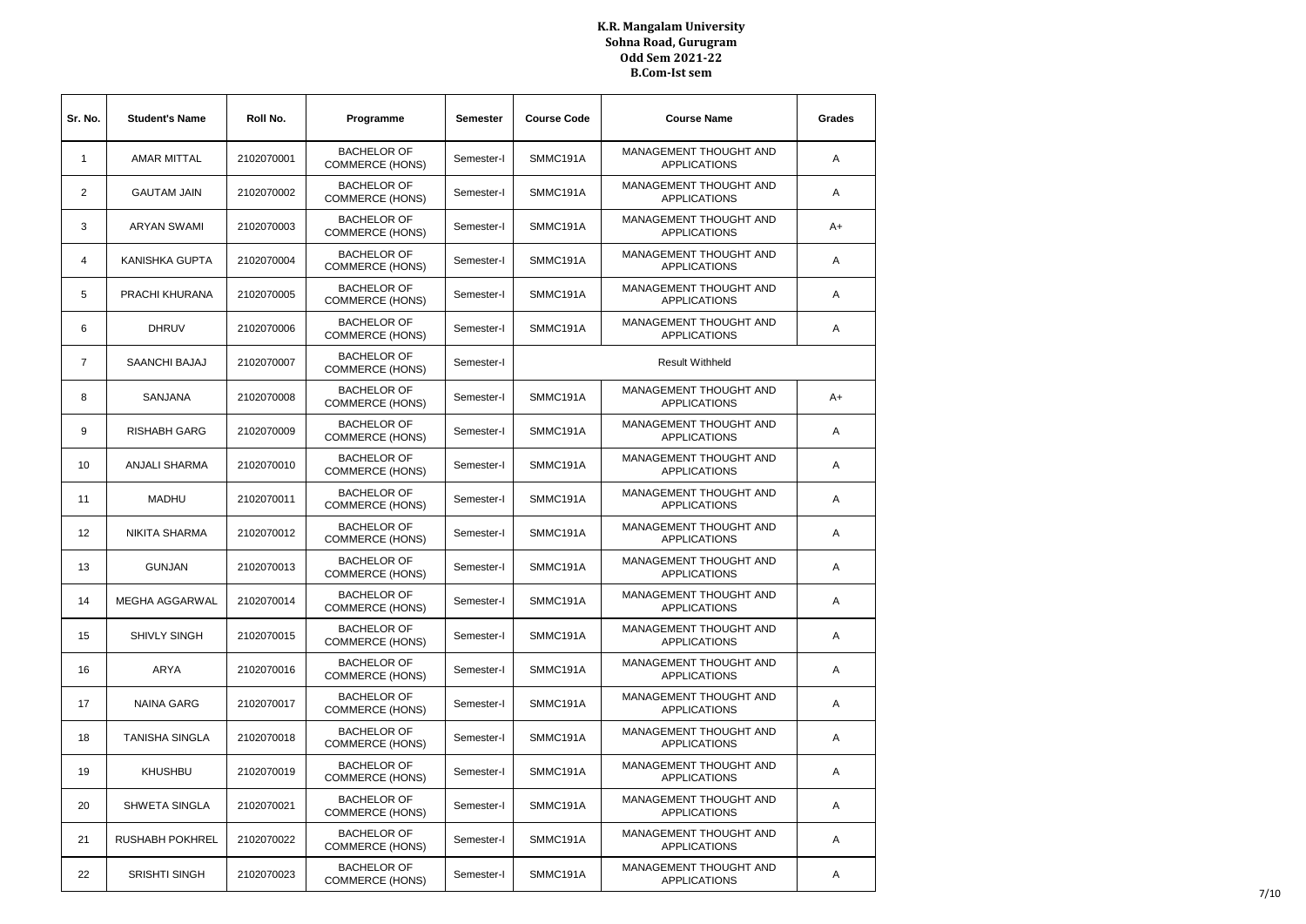| Sr. No.        | <b>Student's Name</b>  | Roll No.   | Programme                                    | Semester   | <b>Course Code</b> | <b>Course Name</b>                                   | Grades |
|----------------|------------------------|------------|----------------------------------------------|------------|--------------------|------------------------------------------------------|--------|
| 1              | <b>AMAR MITTAL</b>     | 2102070001 | <b>BACHELOR OF</b><br><b>COMMERCE (HONS)</b> | Semester-I | SMMC191A           | MANAGEMENT THOUGHT AND<br><b>APPLICATIONS</b>        | Α      |
| $\overline{2}$ | <b>GAUTAM JAIN</b>     | 2102070002 | <b>BACHELOR OF</b><br><b>COMMERCE (HONS)</b> | Semester-I | SMMC191A           | MANAGEMENT THOUGHT AND<br><b>APPLICATIONS</b>        | Α      |
| 3              | <b>ARYAN SWAMI</b>     | 2102070003 | <b>BACHELOR OF</b><br><b>COMMERCE (HONS)</b> | Semester-I | SMMC191A           | MANAGEMENT THOUGHT AND<br><b>APPLICATIONS</b>        | A+     |
| 4              | KANISHKA GUPTA         | 2102070004 | <b>BACHELOR OF</b><br><b>COMMERCE (HONS)</b> | Semester-I | SMMC191A           | MANAGEMENT THOUGHT AND<br><b>APPLICATIONS</b>        | A      |
| 5              | PRACHI KHURANA         | 2102070005 | <b>BACHELOR OF</b><br><b>COMMERCE (HONS)</b> | Semester-I | SMMC191A           | MANAGEMENT THOUGHT AND<br><b>APPLICATIONS</b>        | Α      |
| 6              | <b>DHRUV</b>           | 2102070006 | <b>BACHELOR OF</b><br><b>COMMERCE (HONS)</b> | Semester-I | SMMC191A           | MANAGEMENT THOUGHT AND<br><b>APPLICATIONS</b>        | Α      |
| $\overline{7}$ | SAANCHI BAJAJ          | 2102070007 | <b>BACHELOR OF</b><br><b>COMMERCE (HONS)</b> | Semester-I |                    | <b>Result Withheld</b>                               |        |
| 8              | SANJANA                | 2102070008 | <b>BACHELOR OF</b><br><b>COMMERCE (HONS)</b> | Semester-I | SMMC191A           | MANAGEMENT THOUGHT AND<br><b>APPLICATIONS</b>        | A+     |
| 9              | <b>RISHABH GARG</b>    | 2102070009 | <b>BACHELOR OF</b><br><b>COMMERCE (HONS)</b> | Semester-I | SMMC191A           | <b>MANAGEMENT THOUGHT AND</b><br><b>APPLICATIONS</b> | Α      |
| 10             | <b>ANJALI SHARMA</b>   | 2102070010 | <b>BACHELOR OF</b><br><b>COMMERCE (HONS)</b> | Semester-I | SMMC191A           | <b>MANAGEMENT THOUGHT AND</b><br><b>APPLICATIONS</b> | Α      |
| 11             | <b>MADHU</b>           | 2102070011 | <b>BACHELOR OF</b><br><b>COMMERCE (HONS)</b> | Semester-I | SMMC191A           | MANAGEMENT THOUGHT AND<br><b>APPLICATIONS</b>        | Α      |
| 12             | <b>NIKITA SHARMA</b>   | 2102070012 | <b>BACHELOR OF</b><br><b>COMMERCE (HONS)</b> | Semester-I | SMMC191A           | MANAGEMENT THOUGHT AND<br><b>APPLICATIONS</b>        | Α      |
| 13             | <b>GUNJAN</b>          | 2102070013 | <b>BACHELOR OF</b><br><b>COMMERCE (HONS)</b> | Semester-I | SMMC191A           | MANAGEMENT THOUGHT AND<br><b>APPLICATIONS</b>        | A      |
| 14             | MEGHA AGGARWAL         | 2102070014 | <b>BACHELOR OF</b><br><b>COMMERCE (HONS)</b> | Semester-I | SMMC191A           | MANAGEMENT THOUGHT AND<br><b>APPLICATIONS</b>        | Α      |
| 15             | <b>SHIVLY SINGH</b>    | 2102070015 | <b>BACHELOR OF</b><br><b>COMMERCE (HONS)</b> | Semester-I | SMMC191A           | MANAGEMENT THOUGHT AND<br><b>APPLICATIONS</b>        | Α      |
| 16             | ARYA                   | 2102070016 | <b>BACHELOR OF</b><br><b>COMMERCE (HONS)</b> | Semester-I | SMMC191A           | <b>MANAGEMENT THOUGHT AND</b><br><b>APPLICATIONS</b> | Α      |
| 17             | <b>NAINA GARG</b>      | 2102070017 | <b>BACHELOR OF</b><br><b>COMMERCE (HONS)</b> | Semester-I | SMMC191A           | MANAGEMENT THOUGHT AND<br><b>APPLICATIONS</b>        | Α      |
| 18             | <b>TANISHA SINGLA</b>  | 2102070018 | <b>BACHELOR OF</b><br><b>COMMERCE (HONS)</b> | Semester-I | SMMC191A           | <b>MANAGEMENT THOUGHT AND</b><br><b>APPLICATIONS</b> | Α      |
| 19             | <b>KHUSHBU</b>         | 2102070019 | <b>BACHELOR OF</b><br><b>COMMERCE (HONS)</b> | Semester-I | SMMC191A           | <b>MANAGEMENT THOUGHT AND</b><br><b>APPLICATIONS</b> | Α      |
| 20             | <b>SHWETA SINGLA</b>   | 2102070021 | <b>BACHELOR OF</b><br><b>COMMERCE (HONS)</b> | Semester-I | SMMC191A           | MANAGEMENT THOUGHT AND<br><b>APPLICATIONS</b>        | A      |
| 21             | <b>RUSHABH POKHREL</b> | 2102070022 | <b>BACHELOR OF</b><br><b>COMMERCE (HONS)</b> | Semester-I | SMMC191A           | MANAGEMENT THOUGHT AND<br><b>APPLICATIONS</b>        | A      |
| 22             | <b>SRISHTI SINGH</b>   | 2102070023 | <b>BACHELOR OF</b><br><b>COMMERCE (HONS)</b> | Semester-I | SMMC191A           | MANAGEMENT THOUGHT AND<br><b>APPLICATIONS</b>        | Α      |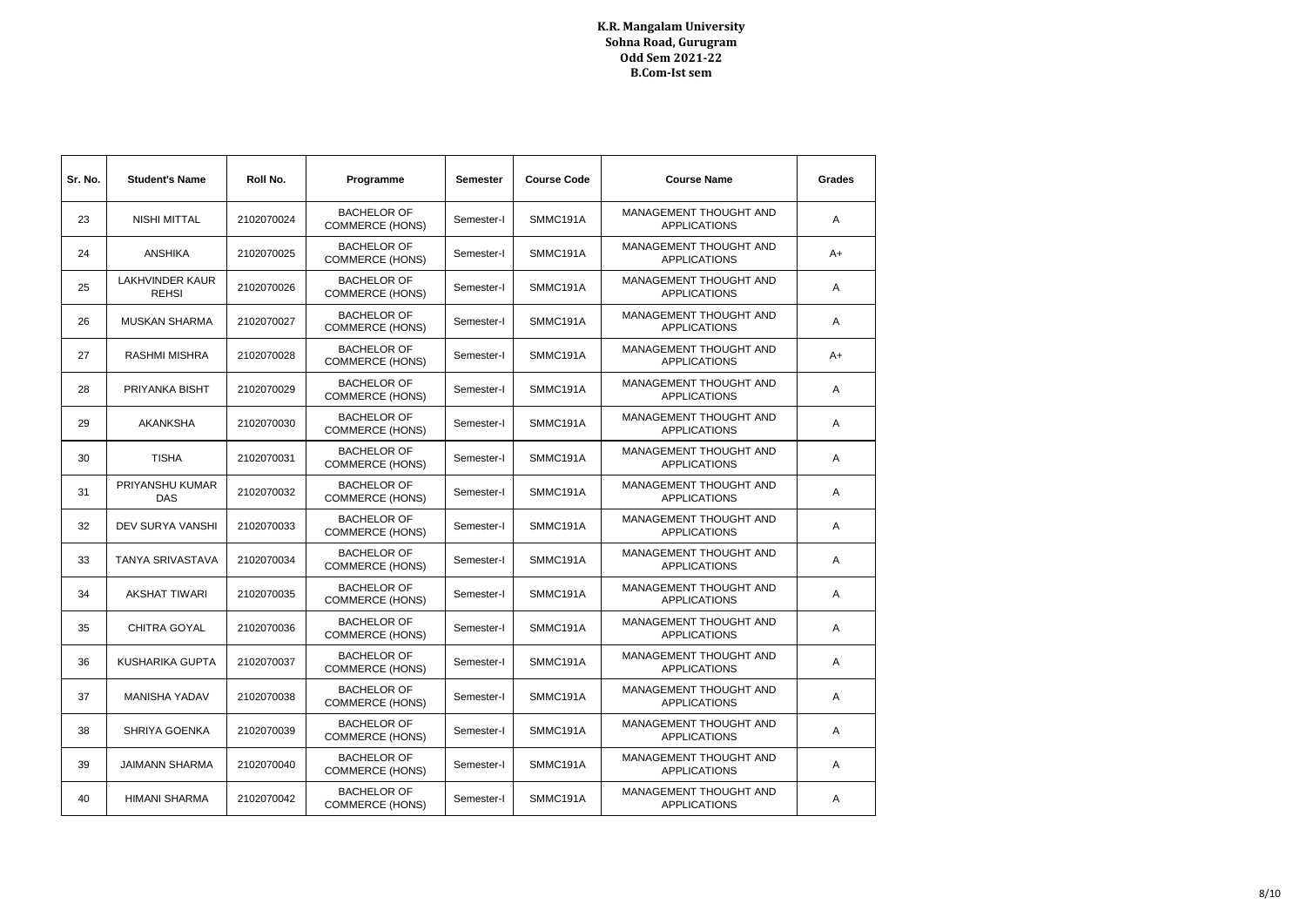| Sr. No. | <b>Student's Name</b>                  | Roll No.   | Programme                                    | <b>Semester</b> | <b>Course Code</b> | <b>Course Name</b>                                   | Grades |
|---------|----------------------------------------|------------|----------------------------------------------|-----------------|--------------------|------------------------------------------------------|--------|
| 23      | <b>NISHI MITTAL</b>                    | 2102070024 | <b>BACHELOR OF</b><br><b>COMMERCE (HONS)</b> | Semester-I      | SMMC191A           | MANAGEMENT THOUGHT AND<br><b>APPLICATIONS</b>        | A      |
| 24      | <b>ANSHIKA</b>                         | 2102070025 | <b>BACHELOR OF</b><br><b>COMMERCE (HONS)</b> | Semester-I      | SMMC191A           | MANAGEMENT THOUGHT AND<br><b>APPLICATIONS</b>        | A+     |
| 25      | <b>LAKHVINDER KAUR</b><br><b>REHSI</b> | 2102070026 | <b>BACHELOR OF</b><br><b>COMMERCE (HONS)</b> | Semester-I      | SMMC191A           | MANAGEMENT THOUGHT AND<br><b>APPLICATIONS</b>        | Α      |
| 26      | <b>MUSKAN SHARMA</b>                   | 2102070027 | <b>BACHELOR OF</b><br><b>COMMERCE (HONS)</b> | Semester-I      | SMMC191A           | MANAGEMENT THOUGHT AND<br><b>APPLICATIONS</b>        | A      |
| 27      | <b>RASHMI MISHRA</b>                   | 2102070028 | <b>BACHELOR OF</b><br><b>COMMERCE (HONS)</b> | Semester-I      | SMMC191A           | MANAGEMENT THOUGHT AND<br><b>APPLICATIONS</b>        | A+     |
| 28      | PRIYANKA BISHT                         | 2102070029 | <b>BACHELOR OF</b><br><b>COMMERCE (HONS)</b> | Semester-I      | SMMC191A           | MANAGEMENT THOUGHT AND<br><b>APPLICATIONS</b>        | Α      |
| 29      | <b>AKANKSHA</b>                        | 2102070030 | <b>BACHELOR OF</b><br><b>COMMERCE (HONS)</b> | Semester-I      | SMMC191A           | MANAGEMENT THOUGHT AND<br><b>APPLICATIONS</b>        | A      |
| 30      | <b>TISHA</b>                           | 2102070031 | <b>BACHELOR OF</b><br><b>COMMERCE (HONS)</b> | Semester-I      | SMMC191A           | MANAGEMENT THOUGHT AND<br><b>APPLICATIONS</b>        | A      |
| 31      | PRIYANSHU KUMAR<br><b>DAS</b>          | 2102070032 | <b>BACHELOR OF</b><br><b>COMMERCE (HONS)</b> | Semester-I      | SMMC191A           | MANAGEMENT THOUGHT AND<br><b>APPLICATIONS</b>        | Α      |
| 32      | <b>DEV SURYA VANSHI</b>                | 2102070033 | <b>BACHELOR OF</b><br><b>COMMERCE (HONS)</b> | Semester-I      | SMMC191A           | MANAGEMENT THOUGHT AND<br><b>APPLICATIONS</b>        | A      |
| 33      | <b>TANYA SRIVASTAVA</b>                | 2102070034 | <b>BACHELOR OF</b><br><b>COMMERCE (HONS)</b> | Semester-I      | SMMC191A           | <b>MANAGEMENT THOUGHT AND</b><br><b>APPLICATIONS</b> | A      |
| 34      | <b>AKSHAT TIWARI</b>                   | 2102070035 | <b>BACHELOR OF</b><br><b>COMMERCE (HONS)</b> | Semester-I      | SMMC191A           | MANAGEMENT THOUGHT AND<br><b>APPLICATIONS</b>        | Α      |
| 35      | <b>CHITRA GOYAL</b>                    | 2102070036 | <b>BACHELOR OF</b><br><b>COMMERCE (HONS)</b> | Semester-I      | SMMC191A           | MANAGEMENT THOUGHT AND<br><b>APPLICATIONS</b>        | A      |
| 36      | <b>KUSHARIKA GUPTA</b>                 | 2102070037 | <b>BACHELOR OF</b><br><b>COMMERCE (HONS)</b> | Semester-I      | SMMC191A           | MANAGEMENT THOUGHT AND<br><b>APPLICATIONS</b>        | A      |
| 37      | <b>MANISHA YADAV</b>                   | 2102070038 | <b>BACHELOR OF</b><br><b>COMMERCE (HONS)</b> | Semester-I      | SMMC191A           | MANAGEMENT THOUGHT AND<br><b>APPLICATIONS</b>        | Α      |
| 38      | SHRIYA GOENKA                          | 2102070039 | <b>BACHELOR OF</b><br><b>COMMERCE (HONS)</b> | Semester-I      | SMMC191A           | MANAGEMENT THOUGHT AND<br><b>APPLICATIONS</b>        | A      |
| 39      | <b>JAIMANN SHARMA</b>                  | 2102070040 | <b>BACHELOR OF</b><br><b>COMMERCE (HONS)</b> | Semester-I      | SMMC191A           | MANAGEMENT THOUGHT AND<br><b>APPLICATIONS</b>        | Α      |
| 40      | <b>HIMANI SHARMA</b>                   | 2102070042 | <b>BACHELOR OF</b><br><b>COMMERCE (HONS)</b> | Semester-I      | SMMC191A           | MANAGEMENT THOUGHT AND<br><b>APPLICATIONS</b>        | Α      |
|         |                                        |            |                                              |                 |                    |                                                      |        |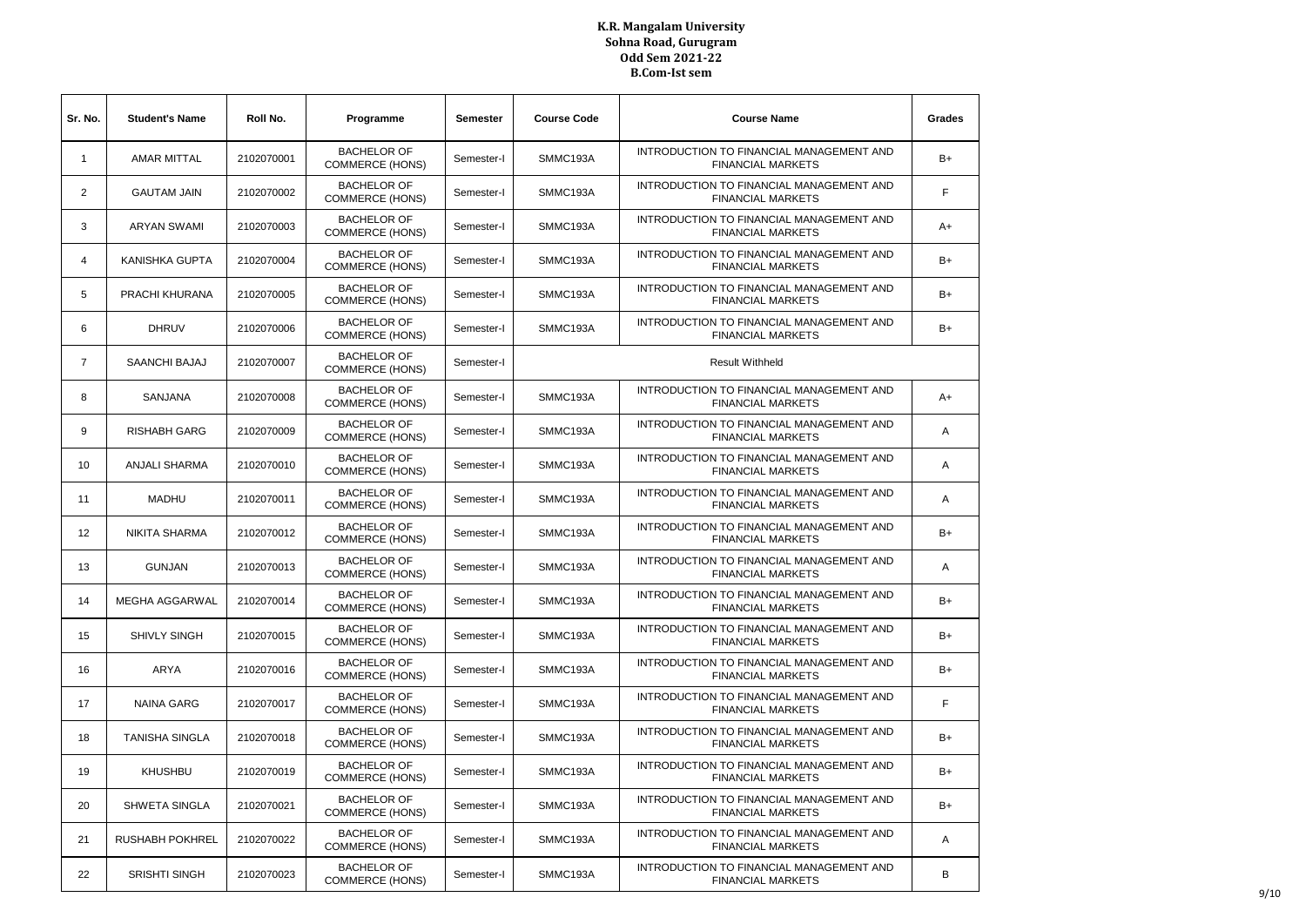| Sr. No.        | <b>Student's Name</b>  | Roll No.   | Programme                                    | <b>Semester</b> | <b>Course Code</b> | <b>Course Name</b>                                                   | Grades |
|----------------|------------------------|------------|----------------------------------------------|-----------------|--------------------|----------------------------------------------------------------------|--------|
| $\mathbf{1}$   | <b>AMAR MITTAL</b>     | 2102070001 | <b>BACHELOR OF</b><br><b>COMMERCE (HONS)</b> | Semester-I      | SMMC193A           | INTRODUCTION TO FINANCIAL MANAGEMENT AND<br><b>FINANCIAL MARKETS</b> | B+     |
| $\overline{2}$ | <b>GAUTAM JAIN</b>     | 2102070002 | <b>BACHELOR OF</b><br><b>COMMERCE (HONS)</b> | Semester-I      | SMMC193A           | INTRODUCTION TO FINANCIAL MANAGEMENT AND<br><b>FINANCIAL MARKETS</b> | F      |
| 3              | <b>ARYAN SWAMI</b>     | 2102070003 | <b>BACHELOR OF</b><br><b>COMMERCE (HONS)</b> | Semester-I      | SMMC193A           | INTRODUCTION TO FINANCIAL MANAGEMENT AND<br><b>FINANCIAL MARKETS</b> | $A+$   |
| 4              | KANISHKA GUPTA         | 2102070004 | <b>BACHELOR OF</b><br><b>COMMERCE (HONS)</b> | Semester-I      | SMMC193A           | INTRODUCTION TO FINANCIAL MANAGEMENT AND<br><b>FINANCIAL MARKETS</b> | B+     |
| 5              | PRACHI KHURANA         | 2102070005 | <b>BACHELOR OF</b><br><b>COMMERCE (HONS)</b> | Semester-I      | SMMC193A           | INTRODUCTION TO FINANCIAL MANAGEMENT AND<br><b>FINANCIAL MARKETS</b> | B+     |
| 6              | <b>DHRUV</b>           | 2102070006 | <b>BACHELOR OF</b><br><b>COMMERCE (HONS)</b> | Semester-I      | SMMC193A           | INTRODUCTION TO FINANCIAL MANAGEMENT AND<br><b>FINANCIAL MARKETS</b> | B+     |
| $\overline{7}$ | SAANCHI BAJAJ          | 2102070007 | <b>BACHELOR OF</b><br><b>COMMERCE (HONS)</b> | Semester-I      |                    | <b>Result Withheld</b>                                               |        |
| 8              | SANJANA                | 2102070008 | <b>BACHELOR OF</b><br><b>COMMERCE (HONS)</b> | Semester-I      | SMMC193A           | INTRODUCTION TO FINANCIAL MANAGEMENT AND<br><b>FINANCIAL MARKETS</b> | A+     |
| 9              | <b>RISHABH GARG</b>    | 2102070009 | <b>BACHELOR OF</b><br><b>COMMERCE (HONS)</b> | Semester-I      | SMMC193A           | INTRODUCTION TO FINANCIAL MANAGEMENT AND<br><b>FINANCIAL MARKETS</b> | A      |
| 10             | <b>ANJALI SHARMA</b>   | 2102070010 | <b>BACHELOR OF</b><br><b>COMMERCE (HONS)</b> | Semester-I      | SMMC193A           | INTRODUCTION TO FINANCIAL MANAGEMENT AND<br><b>FINANCIAL MARKETS</b> | A      |
| 11             | <b>MADHU</b>           | 2102070011 | <b>BACHELOR OF</b><br><b>COMMERCE (HONS)</b> | Semester-I      | SMMC193A           | INTRODUCTION TO FINANCIAL MANAGEMENT AND<br><b>FINANCIAL MARKETS</b> | Α      |
| 12             | NIKITA SHARMA          | 2102070012 | <b>BACHELOR OF</b><br><b>COMMERCE (HONS)</b> | Semester-I      | SMMC193A           | INTRODUCTION TO FINANCIAL MANAGEMENT AND<br><b>FINANCIAL MARKETS</b> | B+     |
| 13             | <b>GUNJAN</b>          | 2102070013 | <b>BACHELOR OF</b><br><b>COMMERCE (HONS)</b> | Semester-I      | SMMC193A           | INTRODUCTION TO FINANCIAL MANAGEMENT AND<br><b>FINANCIAL MARKETS</b> | Α      |
| 14             | MEGHA AGGARWAL         | 2102070014 | <b>BACHELOR OF</b><br><b>COMMERCE (HONS)</b> | Semester-I      | SMMC193A           | INTRODUCTION TO FINANCIAL MANAGEMENT AND<br><b>FINANCIAL MARKETS</b> | B+     |
| 15             | SHIVLY SINGH           | 2102070015 | <b>BACHELOR OF</b><br><b>COMMERCE (HONS)</b> | Semester-I      | SMMC193A           | INTRODUCTION TO FINANCIAL MANAGEMENT AND<br><b>FINANCIAL MARKETS</b> | B+     |
| 16             | ARYA                   | 2102070016 | <b>BACHELOR OF</b><br><b>COMMERCE (HONS)</b> | Semester-I      | SMMC193A           | INTRODUCTION TO FINANCIAL MANAGEMENT AND<br><b>FINANCIAL MARKETS</b> | B+     |
| 17             | <b>NAINA GARG</b>      | 2102070017 | <b>BACHELOR OF</b><br><b>COMMERCE (HONS)</b> | Semester-I      | SMMC193A           | INTRODUCTION TO FINANCIAL MANAGEMENT AND<br><b>FINANCIAL MARKETS</b> | F      |
| 18             | <b>TANISHA SINGLA</b>  | 2102070018 | <b>BACHELOR OF</b><br><b>COMMERCE (HONS)</b> | Semester-I      | SMMC193A           | INTRODUCTION TO FINANCIAL MANAGEMENT AND<br><b>FINANCIAL MARKETS</b> | B+     |
| 19             | <b>KHUSHBU</b>         | 2102070019 | <b>BACHELOR OF</b><br><b>COMMERCE (HONS)</b> | Semester-I      | SMMC193A           | INTRODUCTION TO FINANCIAL MANAGEMENT AND<br><b>FINANCIAL MARKETS</b> | B+     |
| 20             | SHWETA SINGLA          | 2102070021 | <b>BACHELOR OF</b><br><b>COMMERCE (HONS)</b> | Semester-I      | SMMC193A           | INTRODUCTION TO FINANCIAL MANAGEMENT AND<br><b>FINANCIAL MARKETS</b> | B+     |
| 21             | <b>RUSHABH POKHREL</b> | 2102070022 | <b>BACHELOR OF</b><br><b>COMMERCE (HONS)</b> | Semester-I      | SMMC193A           | INTRODUCTION TO FINANCIAL MANAGEMENT AND<br><b>FINANCIAL MARKETS</b> | A      |
| 22             | <b>SRISHTI SINGH</b>   | 2102070023 | <b>BACHELOR OF</b><br><b>COMMERCE (HONS)</b> | Semester-I      | SMMC193A           | INTRODUCTION TO FINANCIAL MANAGEMENT AND<br><b>FINANCIAL MARKETS</b> | В      |